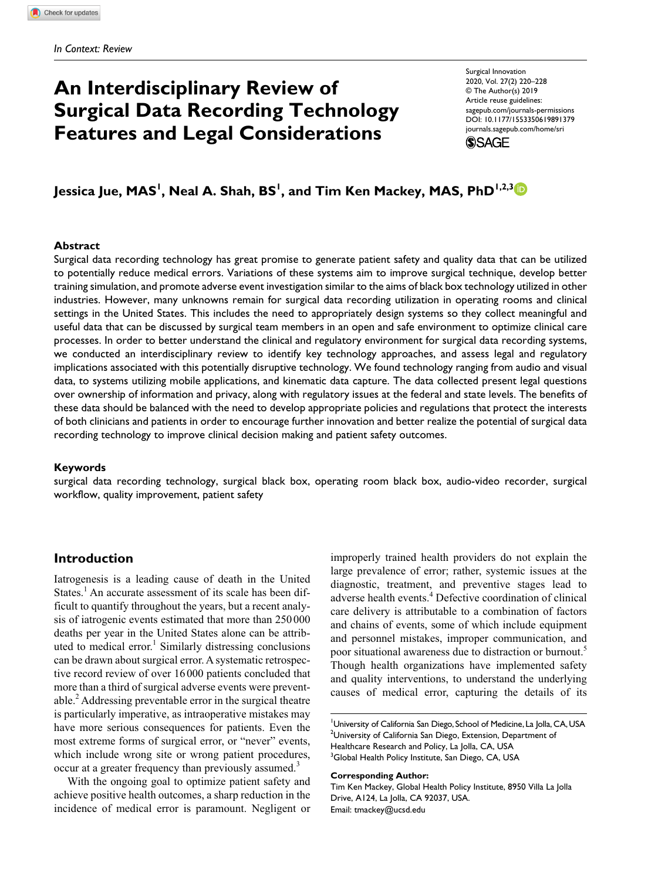# **An Interdisciplinary Review of Surgical Data Recording Technology Features and Legal Considerations**

Surgical Innovation 2020, Vol. 27(2) 220–228 © The Author(s) 2019 Article reuse guidelines: [sagepub.com/journals-permissions](https://us.sagepub.com/en-us/journals-permissions) https://doi.org/10.1177/1553350619891379 DOI: 10.1177/1553350619891379 [journals.sagepub.com/home/sri](https://journals.sagepub.com/home/sri) **SSAGE** 

Jessica Jue, MAS<sup>I</sup>, Neal A. Shah, BS<sup>I</sup>, and Tim Ken Mackey, MAS, PhD<sup>I,2,3</sup>

### **Abstract**

Surgical data recording technology has great promise to generate patient safety and quality data that can be utilized to potentially reduce medical errors. Variations of these systems aim to improve surgical technique, develop better training simulation, and promote adverse event investigation similar to the aims of black box technology utilized in other industries. However, many unknowns remain for surgical data recording utilization in operating rooms and clinical settings in the United States. This includes the need to appropriately design systems so they collect meaningful and useful data that can be discussed by surgical team members in an open and safe environment to optimize clinical care processes. In order to better understand the clinical and regulatory environment for surgical data recording systems, we conducted an interdisciplinary review to identify key technology approaches, and assess legal and regulatory implications associated with this potentially disruptive technology. We found technology ranging from audio and visual data, to systems utilizing mobile applications, and kinematic data capture. The data collected present legal questions over ownership of information and privacy, along with regulatory issues at the federal and state levels. The benefits of these data should be balanced with the need to develop appropriate policies and regulations that protect the interests of both clinicians and patients in order to encourage further innovation and better realize the potential of surgical data recording technology to improve clinical decision making and patient safety outcomes.

### **Keywords**

surgical data recording technology, surgical black box, operating room black box, audio-video recorder, surgical workflow, quality improvement, patient safety

# **Introduction**

Iatrogenesis is a leading cause of death in the United States.<sup>1</sup> An accurate assessment of its scale has been difficult to quantify throughout the years, but a recent analysis of iatrogenic events estimated that more than 250 000 deaths per year in the United States alone can be attributed to medical error.<sup>1</sup> Similarly distressing conclusions can be drawn about surgical error. A systematic retrospective record review of over 16000 patients concluded that more than a third of surgical adverse events were preventable. $^{2}$  Addressing preventable error in the surgical theatre is particularly imperative, as intraoperative mistakes may have more serious consequences for patients. Even the most extreme forms of surgical error, or "never" events, which include wrong site or wrong patient procedures, occur at a greater frequency than previously assumed.<sup>3</sup>

With the ongoing goal to optimize patient safety and achieve positive health outcomes, a sharp reduction in the incidence of medical error is paramount. Negligent or improperly trained health providers do not explain the large prevalence of error; rather, systemic issues at the diagnostic, treatment, and preventive stages lead to adverse health events.<sup>4</sup> Defective coordination of clinical care delivery is attributable to a combination of factors and chains of events, some of which include equipment and personnel mistakes, improper communication, and poor situational awareness due to distraction or burnout.<sup>5</sup> Though health organizations have implemented safety and quality interventions, to understand the underlying causes of medical error, capturing the details of its

#### **Corresponding Author:**

Tim Ken Mackey, Global Health Policy Institute, 8950 Villa La Jolla Drive, A124, La Jolla, CA 92037, USA. Email: [tmackey@ucsd.edu](mailto:tmackey@ucsd.edu)

<sup>&</sup>lt;sup>1</sup>University of California San Diego, School of Medicine, La Jolla, CA, USA  $^{2}$ University of California San Diego, Extension, Department of Healthcare Research and Policy, La Jolla, CA, USA <sup>3</sup>Global Health Policy Institute, San Diego, CA, USA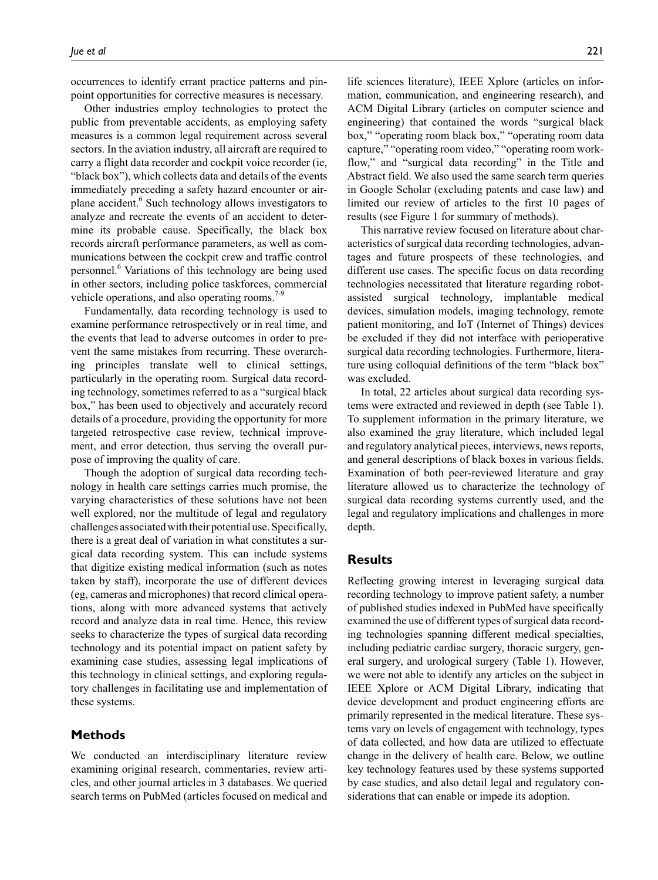occurrences to identify errant practice patterns and pinpoint opportunities for corrective measures is necessary.

Other industries employ technologies to protect the public from preventable accidents, as employing safety measures is a common legal requirement across several sectors. In the aviation industry, all aircraft are required to carry a flight data recorder and cockpit voice recorder (ie, "black box"), which collects data and details of the events immediately preceding a safety hazard encounter or airplane accident.<sup>6</sup> Such technology allows investigators to analyze and recreate the events of an accident to determine its probable cause. Specifically, the black box records aircraft performance parameters, as well as communications between the cockpit crew and traffic control personnel.<sup>6</sup> Variations of this technology are being used in other sectors, including police taskforces, commercial vehicle operations, and also operating rooms. $7-9$ 

Fundamentally, data recording technology is used to examine performance retrospectively or in real time, and the events that lead to adverse outcomes in order to prevent the same mistakes from recurring. These overarching principles translate well to clinical settings, particularly in the operating room. Surgical data recording technology, sometimes referred to as a "surgical black box," has been used to objectively and accurately record details of a procedure, providing the opportunity for more targeted retrospective case review, technical improvement, and error detection, thus serving the overall purpose of improving the quality of care.

Though the adoption of surgical data recording technology in health care settings carries much promise, the varying characteristics of these solutions have not been well explored, nor the multitude of legal and regulatory challenges associated with their potential use. Specifically, there is a great deal of variation in what constitutes a surgical data recording system. This can include systems that digitize existing medical information (such as notes taken by staff), incorporate the use of different devices (eg, cameras and microphones) that record clinical operations, along with more advanced systems that actively record and analyze data in real time. Hence, this review seeks to characterize the types of surgical data recording technology and its potential impact on patient safety by examining case studies, assessing legal implications of this technology in clinical settings, and exploring regulatory challenges in facilitating use and implementation of these systems.

# **Methods**

We conducted an interdisciplinary literature review examining original research, commentaries, review articles, and other journal articles in 3 databases. We queried search terms on PubMed (articles focused on medical and

life sciences literature), IEEE Xplore (articles on information, communication, and engineering research), and ACM Digital Library (articles on computer science and engineering) that contained the words "surgical black box," "operating room black box," "operating room data capture," "operating room video," "operating room workflow," and "surgical data recording" in the Title and Abstract field. We also used the same search term queries in Google Scholar (excluding patents and case law) and limited our review of articles to the first 10 pages of results (see Figure 1 for summary of methods).

This narrative review focused on literature about characteristics of surgical data recording technologies, advantages and future prospects of these technologies, and different use cases. The specific focus on data recording technologies necessitated that literature regarding robotassisted surgical technology, implantable medical devices, simulation models, imaging technology, remote patient monitoring, and IoT (Internet of Things) devices be excluded if they did not interface with perioperative surgical data recording technologies. Furthermore, literature using colloquial definitions of the term "black box" was excluded.

In total, 22 articles about surgical data recording systems were extracted and reviewed in depth (see Table 1). To supplement information in the primary literature, we also examined the gray literature, which included legal and regulatory analytical pieces, interviews, news reports, and general descriptions of black boxes in various fields. Examination of both peer-reviewed literature and gray literature allowed us to characterize the technology of surgical data recording systems currently used, and the legal and regulatory implications and challenges in more depth.

# **Results**

Reflecting growing interest in leveraging surgical data recording technology to improve patient safety, a number of published studies indexed in PubMed have specifically examined the use of different types of surgical data recording technologies spanning different medical specialties, including pediatric cardiac surgery, thoracic surgery, general surgery, and urological surgery (Table 1). However, we were not able to identify any articles on the subject in IEEE Xplore or ACM Digital Library, indicating that device development and product engineering efforts are primarily represented in the medical literature. These systems vary on levels of engagement with technology, types of data collected, and how data are utilized to effectuate change in the delivery of health care. Below, we outline key technology features used by these systems supported by case studies, and also detail legal and regulatory considerations that can enable or impede its adoption.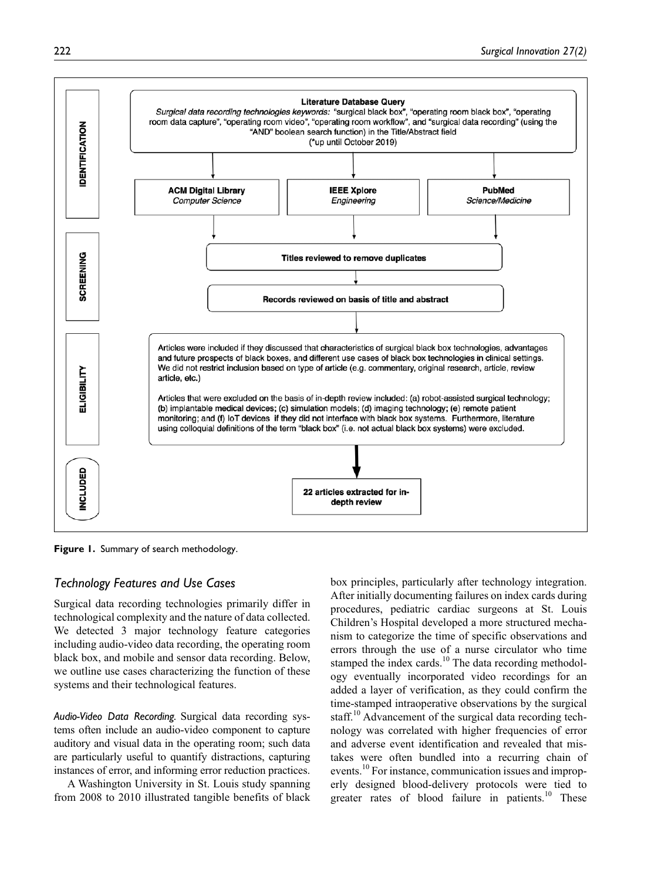

**Figure 1.** Summary of search methodology.

# *Technology Features and Use Cases*

Surgical data recording technologies primarily differ in technological complexity and the nature of data collected. We detected 3 major technology feature categories including audio-video data recording, the operating room black box, and mobile and sensor data recording. Below, we outline use cases characterizing the function of these systems and their technological features.

*Audio-Video Data Recording.* Surgical data recording systems often include an audio-video component to capture auditory and visual data in the operating room; such data are particularly useful to quantify distractions, capturing instances of error, and informing error reduction practices.

A Washington University in St. Louis study spanning from 2008 to 2010 illustrated tangible benefits of black

box principles, particularly after technology integration. After initially documenting failures on index cards during procedures, pediatric cardiac surgeons at St. Louis Children's Hospital developed a more structured mechanism to categorize the time of specific observations and errors through the use of a nurse circulator who time stamped the index cards.<sup>10</sup> The data recording methodology eventually incorporated video recordings for an added a layer of verification, as they could confirm the time-stamped intraoperative observations by the surgical staff.<sup>10</sup> Advancement of the surgical data recording technology was correlated with higher frequencies of error and adverse event identification and revealed that mistakes were often bundled into a recurring chain of events.<sup>10</sup> For instance, communication issues and improperly designed blood-delivery protocols were tied to greater rates of blood failure in patients.<sup>10</sup> These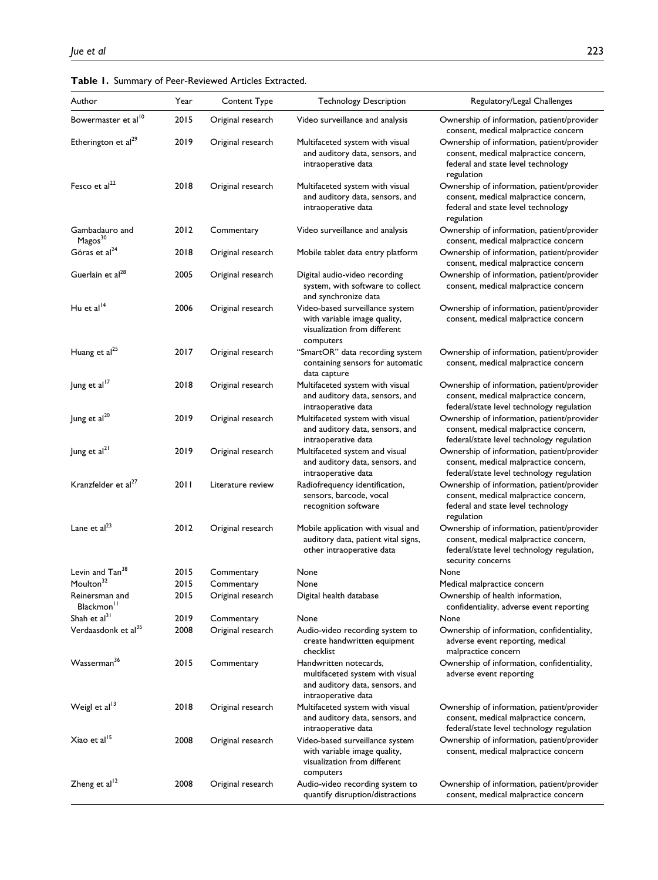|  |  | Table 1. Summary of Peer-Reviewed Articles Extracted. |  |
|--|--|-------------------------------------------------------|--|
|--|--|-------------------------------------------------------|--|

| Author                                   | Year | Content Type      | <b>Technology Description</b>                                                                                       | Regulatory/Legal Challenges                                                                                                                            |
|------------------------------------------|------|-------------------|---------------------------------------------------------------------------------------------------------------------|--------------------------------------------------------------------------------------------------------------------------------------------------------|
| Bowermaster et al <sup>10</sup>          | 2015 | Original research | Video surveillance and analysis                                                                                     | Ownership of information, patient/provider                                                                                                             |
|                                          |      |                   |                                                                                                                     | consent, medical malpractice concern                                                                                                                   |
| Etherington et al <sup>29</sup>          | 2019 | Original research | Multifaceted system with visual<br>and auditory data, sensors, and<br>intraoperative data                           | Ownership of information, patient/provider<br>consent, medical malpractice concern,<br>federal and state level technology<br>regulation                |
| Fesco et $al22$                          | 2018 | Original research | Multifaceted system with visual<br>and auditory data, sensors, and<br>intraoperative data                           | Ownership of information, patient/provider<br>consent, medical malpractice concern,<br>federal and state level technology<br>regulation                |
| Gambadauro and<br>Magos <sup>30</sup>    | 2012 | Commentary        | Video surveillance and analysis                                                                                     | Ownership of information, patient/provider<br>consent, medical malpractice concern                                                                     |
| Göras et al <sup>24</sup>                | 2018 | Original research | Mobile tablet data entry platform                                                                                   | Ownership of information, patient/provider<br>consent, medical malpractice concern                                                                     |
| Guerlain et al <sup>28</sup>             | 2005 | Original research | Digital audio-video recording<br>system, with software to collect<br>and synchronize data                           | Ownership of information, patient/provider<br>consent, medical malpractice concern                                                                     |
| Hu et al <sup>14</sup>                   | 2006 | Original research | Video-based surveillance system<br>with variable image quality,<br>visualization from different<br>computers        | Ownership of information, patient/provider<br>consent, medical malpractice concern                                                                     |
| Huang et al <sup>25</sup>                | 2017 | Original research | "SmartOR" data recording system<br>containing sensors for automatic<br>data capture                                 | Ownership of information, patient/provider<br>consent, medical malpractice concern                                                                     |
| Jung et al <sup>17</sup>                 | 2018 | Original research | Multifaceted system with visual<br>and auditory data, sensors, and<br>intraoperative data                           | Ownership of information, patient/provider<br>consent, medical malpractice concern,<br>federal/state level technology regulation                       |
| Jung et al <sup>20</sup>                 | 2019 | Original research | Multifaceted system with visual<br>and auditory data, sensors, and<br>intraoperative data                           | Ownership of information, patient/provider<br>consent, medical malpractice concern,<br>federal/state level technology regulation                       |
| Jung et al <sup>21</sup>                 | 2019 | Original research | Multifaceted system and visual<br>and auditory data, sensors, and<br>intraoperative data                            | Ownership of information, patient/provider<br>consent, medical malpractice concern,<br>federal/state level technology regulation                       |
| Kranzfelder et al <sup>2/</sup>          | 2011 | Literature review | Radiofrequency identification,<br>sensors, barcode, vocal<br>recognition software                                   | Ownership of information, patient/provider<br>consent, medical malpractice concern,<br>federal and state level technology<br>regulation                |
| Lane et al <sup>23</sup>                 | 2012 | Original research | Mobile application with visual and<br>auditory data, patient vital signs,<br>other intraoperative data              | Ownership of information, patient/provider<br>consent, medical malpractice concern,<br>federal/state level technology regulation,<br>security concerns |
| Levin and Tan <sup>38</sup>              | 2015 | Commentary        | None                                                                                                                | None                                                                                                                                                   |
| Moulton <sup>32</sup>                    | 2015 | Commentary        | None                                                                                                                | Medical malpractice concern                                                                                                                            |
| Reinersman and<br>Blackmon <sup>11</sup> | 2015 | Original research | Digital health database                                                                                             | Ownership of health information,<br>confidentiality, adverse event reporting                                                                           |
| Shah et al <sup>31</sup>                 | 2019 | Commentary        | None                                                                                                                | None                                                                                                                                                   |
| Verdaasdonk et al <sup>35</sup>          | 2008 | Original research | Audio-video recording system to<br>create handwritten equipment<br>checklist                                        | Ownership of information, confidentiality,<br>adverse event reporting, medical<br>malpractice concern                                                  |
| Wasserman <sup>36</sup>                  | 2015 | Commentary        | Handwritten notecards,<br>multifaceted system with visual<br>and auditory data, sensors, and<br>intraoperative data | Ownership of information, confidentiality,<br>adverse event reporting                                                                                  |
| Weigl et al <sup>13</sup>                | 2018 | Original research | Multifaceted system with visual<br>and auditory data, sensors, and<br>intraoperative data                           | Ownership of information, patient/provider<br>consent, medical malpractice concern,<br>federal/state level technology regulation                       |
| Xiao et al <sup>15</sup>                 | 2008 | Original research | Video-based surveillance system<br>with variable image quality,<br>visualization from different<br>computers        | Ownership of information, patient/provider<br>consent, medical malpractice concern                                                                     |
| Zheng et al <sup>12</sup>                | 2008 | Original research | Audio-video recording system to<br>quantify disruption/distractions                                                 | Ownership of information, patient/provider<br>consent, medical malpractice concern                                                                     |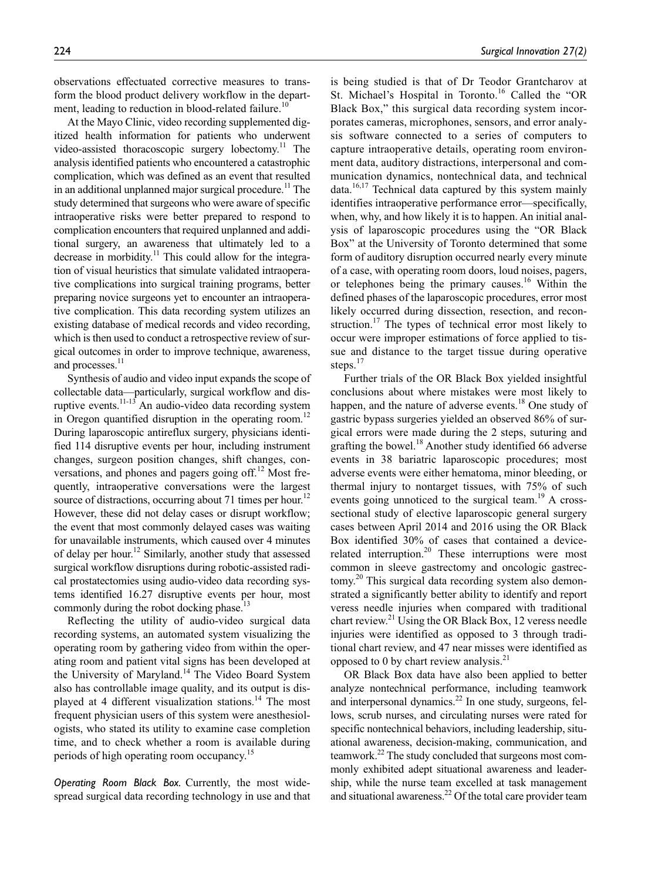observations effectuated corrective measures to transform the blood product delivery workflow in the department, leading to reduction in blood-related failure.<sup>10</sup>

At the Mayo Clinic, video recording supplemented digitized health information for patients who underwent video-assisted thoracoscopic surgery lobectomy.<sup>11</sup> The analysis identified patients who encountered a catastrophic complication, which was defined as an event that resulted in an additional unplanned major surgical procedure.<sup>11</sup> The study determined that surgeons who were aware of specific intraoperative risks were better prepared to respond to complication encounters that required unplanned and additional surgery, an awareness that ultimately led to a decrease in morbidity.<sup>11</sup> This could allow for the integration of visual heuristics that simulate validated intraoperative complications into surgical training programs, better preparing novice surgeons yet to encounter an intraoperative complication. This data recording system utilizes an existing database of medical records and video recording, which is then used to conduct a retrospective review of surgical outcomes in order to improve technique, awareness, and processes.<sup>11</sup>

Synthesis of audio and video input expands the scope of collectable data—particularly, surgical workflow and disruptive events.<sup>11-13</sup> An audio-video data recording system in Oregon quantified disruption in the operating room.<sup>12</sup> During laparoscopic antireflux surgery, physicians identified 114 disruptive events per hour, including instrument changes, surgeon position changes, shift changes, conversations, and phones and pagers going off. $^{12}$  Most frequently, intraoperative conversations were the largest source of distractions, occurring about 71 times per hour.<sup>12</sup> However, these did not delay cases or disrupt workflow; the event that most commonly delayed cases was waiting for unavailable instruments, which caused over 4 minutes of delay per hour.12 Similarly, another study that assessed surgical workflow disruptions during robotic-assisted radical prostatectomies using audio-video data recording systems identified 16.27 disruptive events per hour, most commonly during the robot docking phase.<sup>13</sup>

Reflecting the utility of audio-video surgical data recording systems, an automated system visualizing the operating room by gathering video from within the operating room and patient vital signs has been developed at the University of Maryland.<sup>14</sup> The Video Board System also has controllable image quality, and its output is displayed at 4 different visualization stations.<sup>14</sup> The most frequent physician users of this system were anesthesiologists, who stated its utility to examine case completion time, and to check whether a room is available during periods of high operating room occupancy.<sup>15</sup>

*Operating Room Black Box.* Currently, the most widespread surgical data recording technology in use and that

is being studied is that of Dr Teodor Grantcharov at St. Michael's Hospital in Toronto.<sup>16</sup> Called the "OR Black Box," this surgical data recording system incorporates cameras, microphones, sensors, and error analysis software connected to a series of computers to capture intraoperative details, operating room environment data, auditory distractions, interpersonal and communication dynamics, nontechnical data, and technical data.<sup>16,17</sup> Technical data captured by this system mainly identifies intraoperative performance error—specifically, when, why, and how likely it is to happen. An initial analysis of laparoscopic procedures using the "OR Black Box" at the University of Toronto determined that some form of auditory disruption occurred nearly every minute of a case, with operating room doors, loud noises, pagers, or telephones being the primary causes.<sup>16</sup> Within the defined phases of the laparoscopic procedures, error most likely occurred during dissection, resection, and reconstruction.<sup>17</sup> The types of technical error most likely to occur were improper estimations of force applied to tissue and distance to the target tissue during operative steps.<sup>17</sup>

Further trials of the OR Black Box yielded insightful conclusions about where mistakes were most likely to happen, and the nature of adverse events.<sup>18</sup> One study of gastric bypass surgeries yielded an observed 86% of surgical errors were made during the 2 steps, suturing and grafting the bowel.<sup>18</sup> Another study identified 66 adverse events in 38 bariatric laparoscopic procedures; most adverse events were either hematoma, minor bleeding, or thermal injury to nontarget tissues, with 75% of such events going unnoticed to the surgical team.<sup>19</sup> A crosssectional study of elective laparoscopic general surgery cases between April 2014 and 2016 using the OR Black Box identified 30% of cases that contained a devicerelated interruption.<sup>20</sup> These interruptions were most common in sleeve gastrectomy and oncologic gastrectomy.<sup>20</sup> This surgical data recording system also demonstrated a significantly better ability to identify and report veress needle injuries when compared with traditional chart review.<sup>21</sup> Using the OR Black Box, 12 veress needle injuries were identified as opposed to 3 through traditional chart review, and 47 near misses were identified as opposed to 0 by chart review analysis. $21$ 

OR Black Box data have also been applied to better analyze nontechnical performance, including teamwork and interpersonal dynamics. $^{22}$  In one study, surgeons, fellows, scrub nurses, and circulating nurses were rated for specific nontechnical behaviors, including leadership, situational awareness, decision-making, communication, and teamwork.<sup>22</sup> The study concluded that surgeons most commonly exhibited adept situational awareness and leadership, while the nurse team excelled at task management and situational awareness.<sup>22</sup> Of the total care provider team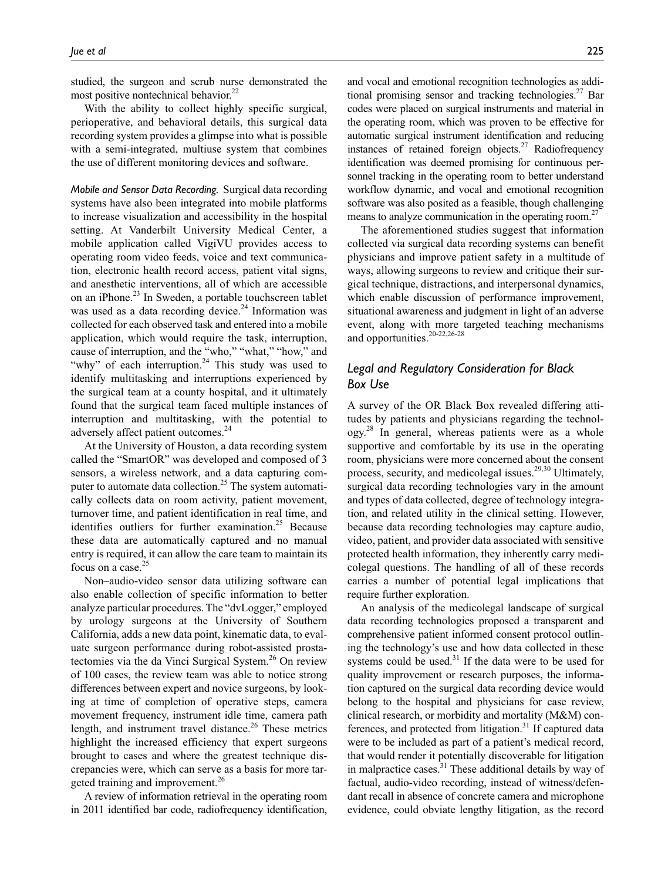studied, the surgeon and scrub nurse demonstrated the most positive nontechnical behavior.<sup>22</sup>

With the ability to collect highly specific surgical, perioperative, and behavioral details, this surgical data recording system provides a glimpse into what is possible with a semi-integrated, multiuse system that combines the use of different monitoring devices and software.

*Mobile and Sensor Data Recording.* Surgical data recording systems have also been integrated into mobile platforms to increase visualization and accessibility in the hospital setting. At Vanderbilt University Medical Center, a mobile application called VigiVU provides access to operating room video feeds, voice and text communication, electronic health record access, patient vital signs, and anesthetic interventions, all of which are accessible on an iPhone.<sup>23</sup> In Sweden, a portable touchscreen tablet was used as a data recording device. $^{24}$  Information was collected for each observed task and entered into a mobile application, which would require the task, interruption, cause of interruption, and the "who," "what," "how," and "why" of each interruption.<sup>24</sup> This study was used to identify multitasking and interruptions experienced by the surgical team at a county hospital, and it ultimately found that the surgical team faced multiple instances of interruption and multitasking, with the potential to adversely affect patient outcomes.<sup>24</sup>

At the University of Houston, a data recording system called the "SmartOR" was developed and composed of 3 sensors, a wireless network, and a data capturing computer to automate data collection.25 The system automatically collects data on room activity, patient movement, turnover time, and patient identification in real time, and identifies outliers for further examination.<sup>25</sup> Because these data are automatically captured and no manual entry is required, it can allow the care team to maintain its focus on a case.<sup>25</sup>

Non–audio-video sensor data utilizing software can also enable collection of specific information to better analyze particular procedures. The "dvLogger," employed by urology surgeons at the University of Southern California, adds a new data point, kinematic data, to evaluate surgeon performance during robot-assisted prostatectomies via the da Vinci Surgical System.<sup>26</sup> On review of 100 cases, the review team was able to notice strong differences between expert and novice surgeons, by looking at time of completion of operative steps, camera movement frequency, instrument idle time, camera path length, and instrument travel distance.<sup>26</sup> These metrics highlight the increased efficiency that expert surgeons brought to cases and where the greatest technique discrepancies were, which can serve as a basis for more targeted training and improvement.<sup>26</sup>

A review of information retrieval in the operating room in 2011 identified bar code, radiofrequency identification, and vocal and emotional recognition technologies as additional promising sensor and tracking technologies.<sup>27</sup> Bar codes were placed on surgical instruments and material in the operating room, which was proven to be effective for automatic surgical instrument identification and reducing instances of retained foreign objects.<sup>27</sup> Radiofrequency identification was deemed promising for continuous personnel tracking in the operating room to better understand workflow dynamic, and vocal and emotional recognition software was also posited as a feasible, though challenging means to analyze communication in the operating room.<sup>27</sup>

The aforementioned studies suggest that information collected via surgical data recording systems can benefit physicians and improve patient safety in a multitude of ways, allowing surgeons to review and critique their surgical technique, distractions, and interpersonal dynamics, which enable discussion of performance improvement, situational awareness and judgment in light of an adverse event, along with more targeted teaching mechanisms and opportunities.20-22,26-28

# *Legal and Regulatory Consideration for Black Box Use*

A survey of the OR Black Box revealed differing attitudes by patients and physicians regarding the technology.<sup>28</sup> In general, whereas patients were as a whole supportive and comfortable by its use in the operating room, physicians were more concerned about the consent process, security, and medicolegal issues.<sup>29,30</sup> Ultimately, surgical data recording technologies vary in the amount and types of data collected, degree of technology integration, and related utility in the clinical setting. However, because data recording technologies may capture audio, video, patient, and provider data associated with sensitive protected health information, they inherently carry medicolegal questions. The handling of all of these records carries a number of potential legal implications that require further exploration.

An analysis of the medicolegal landscape of surgical data recording technologies proposed a transparent and comprehensive patient informed consent protocol outlining the technology's use and how data collected in these systems could be used. $31$  If the data were to be used for quality improvement or research purposes, the information captured on the surgical data recording device would belong to the hospital and physicians for case review, clinical research, or morbidity and mortality (M&M) conferences, and protected from litigation. $31$  If captured data were to be included as part of a patient's medical record, that would render it potentially discoverable for litigation in malpractice cases. $31$  These additional details by way of factual, audio-video recording, instead of witness/defendant recall in absence of concrete camera and microphone evidence, could obviate lengthy litigation, as the record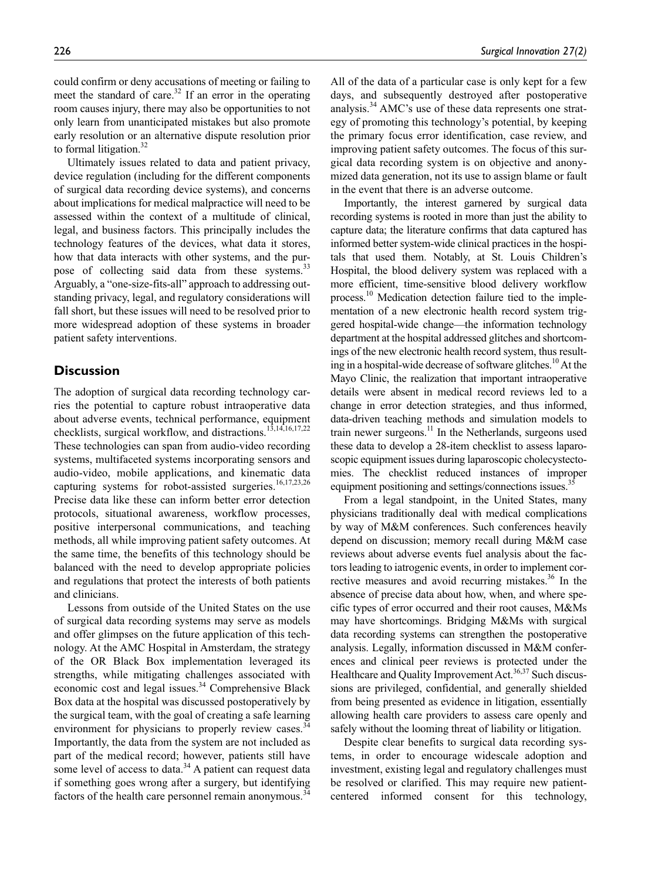could confirm or deny accusations of meeting or failing to meet the standard of care. $32$  If an error in the operating room causes injury, there may also be opportunities to not only learn from unanticipated mistakes but also promote early resolution or an alternative dispute resolution prior to formal litigation. $32$ 

Ultimately issues related to data and patient privacy, device regulation (including for the different components of surgical data recording device systems), and concerns about implications for medical malpractice will need to be assessed within the context of a multitude of clinical, legal, and business factors. This principally includes the technology features of the devices, what data it stores, how that data interacts with other systems, and the purpose of collecting said data from these systems.<sup>33</sup> Arguably, a "one-size-fits-all" approach to addressing outstanding privacy, legal, and regulatory considerations will fall short, but these issues will need to be resolved prior to more widespread adoption of these systems in broader patient safety interventions.

# **Discussion**

The adoption of surgical data recording technology carries the potential to capture robust intraoperative data about adverse events, technical performance, equipment checklists, surgical workflow, and distractions.<sup>13,14,16,17,22</sup> These technologies can span from audio-video recording systems, multifaceted systems incorporating sensors and audio-video, mobile applications, and kinematic data capturing systems for robot-assisted surgeries.<sup>16,17,23,26</sup> Precise data like these can inform better error detection protocols, situational awareness, workflow processes, positive interpersonal communications, and teaching methods, all while improving patient safety outcomes. At the same time, the benefits of this technology should be balanced with the need to develop appropriate policies and regulations that protect the interests of both patients and clinicians.

Lessons from outside of the United States on the use of surgical data recording systems may serve as models and offer glimpses on the future application of this technology. At the AMC Hospital in Amsterdam, the strategy of the OR Black Box implementation leveraged its strengths, while mitigating challenges associated with economic cost and legal issues.<sup>34</sup> Comprehensive Black Box data at the hospital was discussed postoperatively by the surgical team, with the goal of creating a safe learning environment for physicians to properly review cases.<sup>3</sup> Importantly, the data from the system are not included as part of the medical record; however, patients still have some level of access to data. $34$  A patient can request data if something goes wrong after a surgery, but identifying factors of the health care personnel remain anonymous.<sup>34</sup>

All of the data of a particular case is only kept for a few days, and subsequently destroyed after postoperative analysis.<sup>34</sup> AMC's use of these data represents one strategy of promoting this technology's potential, by keeping the primary focus error identification, case review, and improving patient safety outcomes. The focus of this surgical data recording system is on objective and anonymized data generation, not its use to assign blame or fault in the event that there is an adverse outcome.

Importantly, the interest garnered by surgical data recording systems is rooted in more than just the ability to capture data; the literature confirms that data captured has informed better system-wide clinical practices in the hospitals that used them. Notably, at St. Louis Children's Hospital, the blood delivery system was replaced with a more efficient, time-sensitive blood delivery workflow process.<sup>10</sup> Medication detection failure tied to the implementation of a new electronic health record system triggered hospital-wide change—the information technology department at the hospital addressed glitches and shortcomings of the new electronic health record system, thus resulting in a hospital-wide decrease of software glitches.<sup>10</sup> At the Mayo Clinic, the realization that important intraoperative details were absent in medical record reviews led to a change in error detection strategies, and thus informed, data-driven teaching methods and simulation models to train newer surgeons.<sup>11</sup> In the Netherlands, surgeons used these data to develop a 28-item checklist to assess laparoscopic equipment issues during laparoscopic cholecystectomies. The checklist reduced instances of improper equipment positioning and settings/connections issues.<sup>35</sup>

From a legal standpoint, in the United States, many physicians traditionally deal with medical complications by way of M&M conferences. Such conferences heavily depend on discussion; memory recall during M&M case reviews about adverse events fuel analysis about the factors leading to iatrogenic events, in order to implement corrective measures and avoid recurring mistakes.<sup>36</sup> In the absence of precise data about how, when, and where specific types of error occurred and their root causes, M&Ms may have shortcomings. Bridging M&Ms with surgical data recording systems can strengthen the postoperative analysis. Legally, information discussed in M&M conferences and clinical peer reviews is protected under the Healthcare and Quality Improvement Act.<sup>36,37</sup> Such discussions are privileged, confidential, and generally shielded from being presented as evidence in litigation, essentially allowing health care providers to assess care openly and safely without the looming threat of liability or litigation.

Despite clear benefits to surgical data recording systems, in order to encourage widescale adoption and investment, existing legal and regulatory challenges must be resolved or clarified. This may require new patientcentered informed consent for this technology,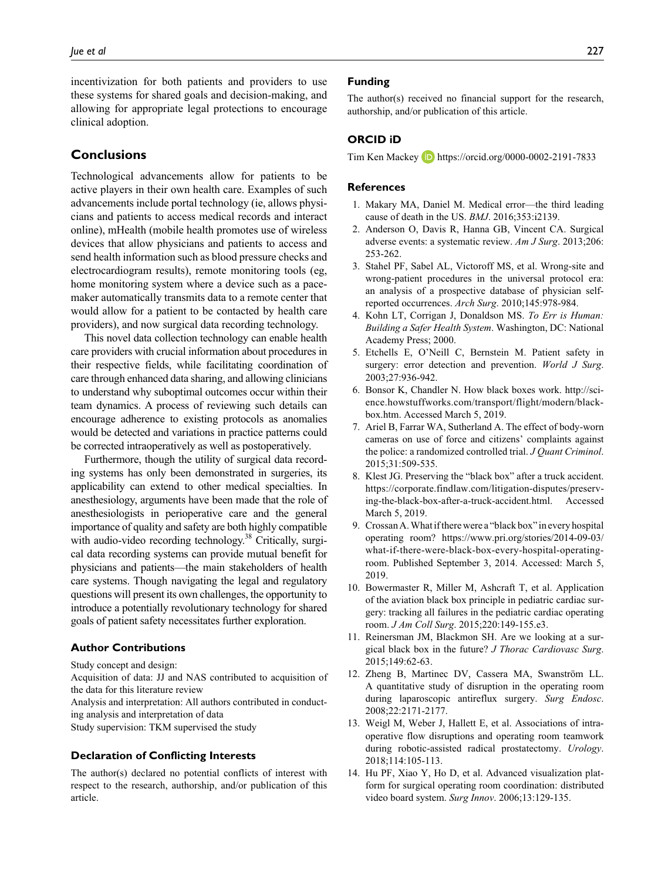incentivization for both patients and providers to use these systems for shared goals and decision-making, and allowing for appropriate legal protections to encourage clinical adoption.

# **Conclusions**

Technological advancements allow for patients to be active players in their own health care. Examples of such advancements include portal technology (ie, allows physicians and patients to access medical records and interact online), mHealth (mobile health promotes use of wireless devices that allow physicians and patients to access and send health information such as blood pressure checks and electrocardiogram results), remote monitoring tools (eg, home monitoring system where a device such as a pacemaker automatically transmits data to a remote center that would allow for a patient to be contacted by health care providers), and now surgical data recording technology.

This novel data collection technology can enable health care providers with crucial information about procedures in their respective fields, while facilitating coordination of care through enhanced data sharing, and allowing clinicians to understand why suboptimal outcomes occur within their team dynamics. A process of reviewing such details can encourage adherence to existing protocols as anomalies would be detected and variations in practice patterns could be corrected intraoperatively as well as postoperatively.

Furthermore, though the utility of surgical data recording systems has only been demonstrated in surgeries, its applicability can extend to other medical specialties. In anesthesiology, arguments have been made that the role of anesthesiologists in perioperative care and the general importance of quality and safety are both highly compatible with audio-video recording technology.<sup>38</sup> Critically, surgical data recording systems can provide mutual benefit for physicians and patients—the main stakeholders of health care systems. Though navigating the legal and regulatory questions will present its own challenges, the opportunity to introduce a potentially revolutionary technology for shared goals of patient safety necessitates further exploration.

## **Author Contributions**

Study concept and design:

Acquisition of data: JJ and NAS contributed to acquisition of the data for this literature review

Analysis and interpretation: All authors contributed in conducting analysis and interpretation of data

Study supervision: TKM supervised the study

### **Declaration of Conflicting Interests**

The author(s) declared no potential conflicts of interest with respect to the research, authorship, and/or publication of this article.

### **Funding**

The author(s) received no financial support for the research, authorship, and/or publication of this article.

### **ORCID iD**

Tim Ken Mackey **iD** <https://orcid.org/0000-0002-2191-7833>

### **References**

- 1. Makary MA, Daniel M. Medical error—the third leading cause of death in the US. *BMJ*. 2016;353:i2139.
- 2. Anderson O, Davis R, Hanna GB, Vincent CA. Surgical adverse events: a systematic review. *Am J Surg*. 2013;206: 253-262.
- 3. Stahel PF, Sabel AL, Victoroff MS, et al. Wrong-site and wrong-patient procedures in the universal protocol era: an analysis of a prospective database of physician selfreported occurrences. *Arch Surg*. 2010;145:978-984.
- 4. Kohn LT, Corrigan J, Donaldson MS. *To Err is Human: Building a Safer Health System*. Washington, DC: National Academy Press; 2000.
- 5. Etchells E, O'Neill C, Bernstein M. Patient safety in surgery: error detection and prevention. *World J Surg*. 2003;27:936-942.
- 6. Bonsor K, Chandler N. How black boxes work. [http://sci](http://science.howstuffworks.com/transport/flight/modern/black-box.htm)[ence.howstuffworks.com/transport/flight/modern/black](http://science.howstuffworks.com/transport/flight/modern/black-box.htm)[box.htm.](http://science.howstuffworks.com/transport/flight/modern/black-box.htm) Accessed March 5, 2019.
- 7. Ariel B, Farrar WA, Sutherland A. The effect of body-worn cameras on use of force and citizens' complaints against the police: a randomized controlled trial. *J Quant Criminol*. 2015;31:509-535.
- 8. Klest JG. Preserving the "black box" after a truck accident. [https://corporate.findlaw.com/litigation-disputes/preserv](https://corporate.findlaw.com/litigation-disputes/preserving-the-black-box-after-a-truck-accident.html)[ing-the-black-box-after-a-truck-accident.html](https://corporate.findlaw.com/litigation-disputes/preserving-the-black-box-after-a-truck-accident.html). Accessed March 5, 2019.
- 9. Crossan A. What if there were a "black box" in every hospital operating room? [https://www.pri.org/stories/2014-09-03/](https://www.pri.org/stories/2014-09-03/what-if-there-were-black-box-every-hospital-operating-room) [what-if-there-were-black-box-every-hospital-operating](https://www.pri.org/stories/2014-09-03/what-if-there-were-black-box-every-hospital-operating-room)[room](https://www.pri.org/stories/2014-09-03/what-if-there-were-black-box-every-hospital-operating-room). Published September 3, 2014. Accessed: March 5, 2019.
- 10. Bowermaster R, Miller M, Ashcraft T, et al. Application of the aviation black box principle in pediatric cardiac surgery: tracking all failures in the pediatric cardiac operating room. *J Am Coll Surg*. 2015;220:149-155.e3.
- 11. Reinersman JM, Blackmon SH. Are we looking at a surgical black box in the future? *J Thorac Cardiovasc Surg*. 2015;149:62-63.
- 12. Zheng B, Martinec DV, Cassera MA, Swanström LL. A quantitative study of disruption in the operating room during laparoscopic antireflux surgery. *Surg Endosc*. 2008;22:2171-2177.
- 13. Weigl M, Weber J, Hallett E, et al. Associations of intraoperative flow disruptions and operating room teamwork during robotic-assisted radical prostatectomy. *Urology*. 2018;114:105-113.
- 14. Hu PF, Xiao Y, Ho D, et al. Advanced visualization platform for surgical operating room coordination: distributed video board system. *Surg Innov*. 2006;13:129-135.